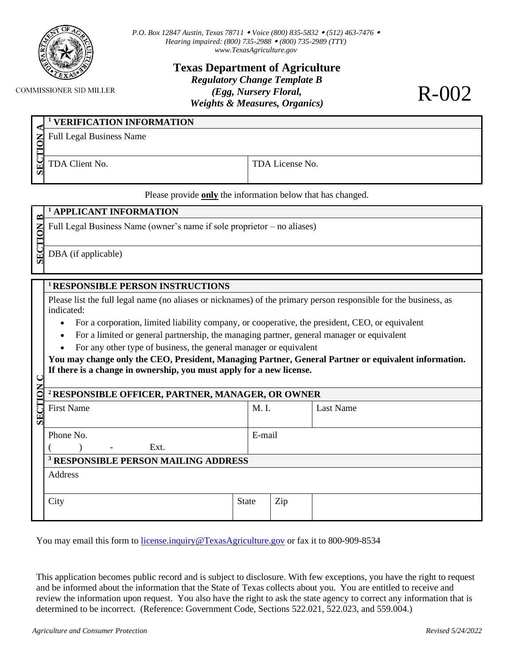

**COMMISSIONER SID MILLER** 

*P.O. Box 12847 Austin, Texas 78711 Voice (800) 835-5832 (512) 463-7476 Hearing impaired: (800) 735-2988 (800) 735-2989 (TTY) [www.TexasAgriculture.gov](http://www.agr.state.tx.us/)*

> **Texas Department of Agriculture** *Regulatory Change Template B (Egg, Nursery Floral, Weights & Measures, Organics)*

R-002

| <b>SE</b> | <sup>1</sup> VERIFICATION INFORMATION |                 |  |  |  |  |  |
|-----------|---------------------------------------|-----------------|--|--|--|--|--|
|           | <b>Z</b> Full Legal Business Name     |                 |  |  |  |  |  |
|           |                                       |                 |  |  |  |  |  |
|           | TDA Client No.                        | TDA License No. |  |  |  |  |  |

Please provide **only** the information below that has changed.

## **SECTION <sup>1</sup> APPLICANT INFORMATION** Full Legal Business Name (owner's name if sole proprietor – no aliases) DBA (if applicable) **SECTION <sup>1</sup>RESPONSIBLE PERSON INSTRUCTIONS** Please list the full legal name (no aliases or nicknames) of the primary person responsible for the business, as indicated: • For a corporation, limited liability company, or cooperative, the president, CEO, or equivalent • For a limited or general partnership, the managing partner, general manager or equivalent • For any other type of business, the general manager or equivalent **You may change only the CEO, President, Managing Partner, General Partner or equivalent information. If there is a change in ownership, you must apply for a new license. <sup>2</sup>RESPONSIBLE OFFICER, PARTNER, MANAGER, OR OWNER** First Name M. I. M. I. M. Last Name M. I. I. as Name Phone No.  $\sum_{i=1}^{n}$   $\sum_{i=1}^{n}$   $\sum_{i=1}^{n}$   $\sum_{i=1}^{n}$   $\sum_{i=1}^{n}$   $\sum_{i=1}^{n}$   $\sum_{i=1}^{n}$   $\sum_{i=1}^{n}$   $\sum_{i=1}^{n}$   $\sum_{i=1}^{n}$   $\sum_{i=1}^{n}$   $\sum_{i=1}^{n}$   $\sum_{i=1}^{n}$   $\sum_{i=1}^{n}$   $\sum_{i=1}^{n}$   $\sum_{i=1}^{n}$   $\sum_{i=1}^{n}$  E-mail **<sup>3</sup> RESPONSIBLE PERSON MAILING ADDRESS** Address City State Zip

You may email this form to [license.inquiry@TexasAgriculture.gov](mailto:license.inquiry@TexasAgriculture.gov) or fax it to 800-909-8534

This application becomes public record and is subject to disclosure. With few exceptions, you have the right to request and be informed about the information that the State of Texas collects about you. You are entitled to receive and review the information upon request. You also have the right to ask the state agency to correct any information that is determined to be incorrect. (Reference: Government Code, Sections 522.021, 522.023, and 559.004.)